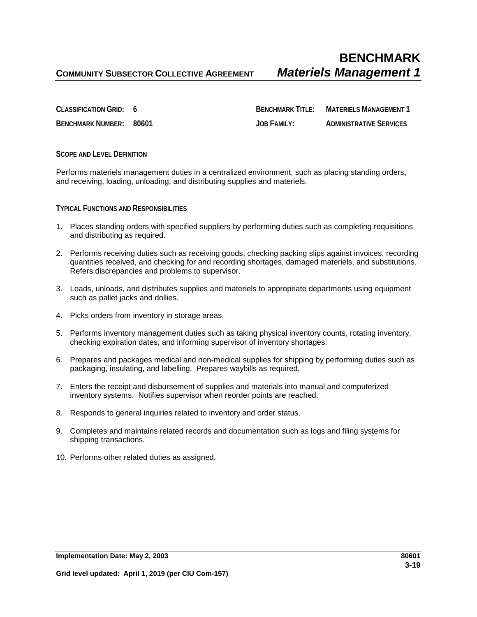**CLASSIFICATION GRID: 6 BENCHMARK TITLE: MATERIELS MANAGEMENT 1 BENCHMARK NUMBER: 80601 JOB FAMILY: ADMINISTRATIVE SERVICES**

## **SCOPE AND LEVEL DEFINITION**

Performs materiels management duties in a centralized environment, such as placing standing orders, and receiving, loading, unloading, and distributing supplies and materiels.

**TYPICAL FUNCTIONS AND RESPONSIBILITIES**

- 1. Places standing orders with specified suppliers by performing duties such as completing requisitions and distributing as required.
- 2. Performs receiving duties such as receiving goods, checking packing slips against invoices, recording quantities received, and checking for and recording shortages, damaged materiels, and substitutions. Refers discrepancies and problems to supervisor.
- 3. Loads, unloads, and distributes supplies and materiels to appropriate departments using equipment such as pallet jacks and dollies.
- 4. Picks orders from inventory in storage areas.
- 5. Performs inventory management duties such as taking physical inventory counts, rotating inventory, checking expiration dates, and informing supervisor of inventory shortages.
- 6. Prepares and packages medical and non-medical supplies for shipping by performing duties such as packaging, insulating, and labelling. Prepares waybills as required.
- 7. Enters the receipt and disbursement of supplies and materials into manual and computerized inventory systems. Notifies supervisor when reorder points are reached.
- 8. Responds to general inquiries related to inventory and order status.
- 9. Completes and maintains related records and documentation such as logs and filing systems for shipping transactions.
- 10. Performs other related duties as assigned.